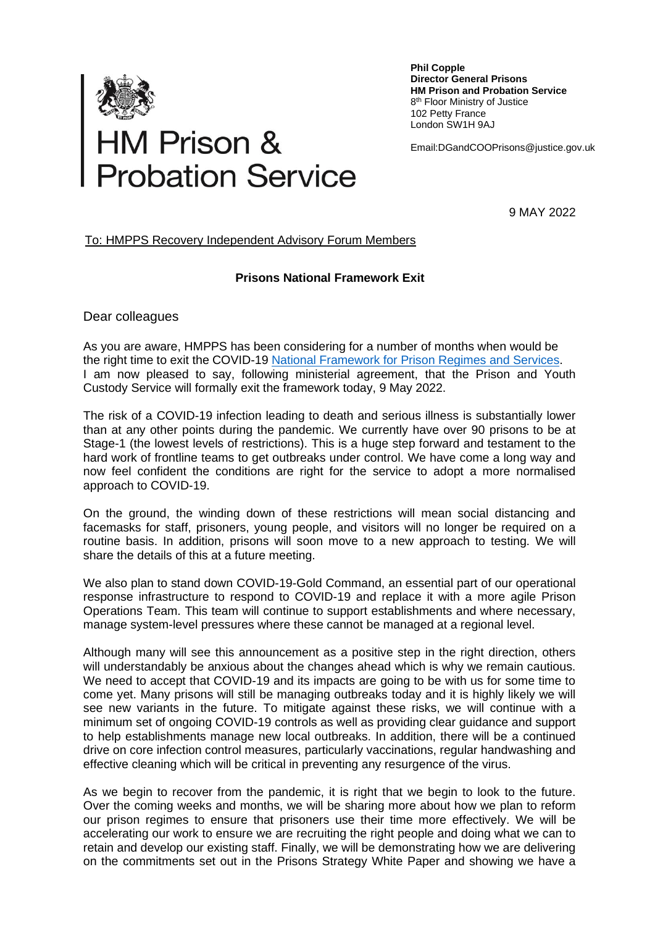

## **HM Prison &<br>Probation Service**

**Phil Copple Director General Prisons HM Prison and Probation Service** 8<sup>th</sup> Floor Ministry of Justice 102 Petty France London SW1H 9AJ

Email:DGandCOOPrisons@justice.gov.uk

9 MAY 2022

## To: HMPPS Recovery Independent Advisory Forum Members

## **Prisons National Framework Exit**

Dear colleagues

As you are aware, HMPPS has been considering for a number of months when would be the right time to exit the COVID-19 [National Framework for Prison Regimes and Services.](https://www.gov.uk/government/publications/covid-19-national-framework-for-prison-regimes-and-services) I am now pleased to say, following ministerial agreement, that the Prison and Youth Custody Service will formally exit the framework today, 9 May 2022.

The risk of a COVID-19 infection leading to death and serious illness is substantially lower than at any other points during the pandemic. We currently have over 90 prisons to be at Stage-1 (the lowest levels of restrictions). This is a huge step forward and testament to the hard work of frontline teams to get outbreaks under control. We have come a long way and now feel confident the conditions are right for the service to adopt a more normalised approach to COVID-19.

On the ground, the winding down of these restrictions will mean social distancing and facemasks for staff, prisoners, young people, and visitors will no longer be required on a routine basis. In addition, prisons will soon move to a new approach to testing. We will share the details of this at a future meeting.

We also plan to stand down COVID-19-Gold Command, an essential part of our operational response infrastructure to respond to COVID-19 and replace it with a more agile Prison Operations Team. This team will continue to support establishments and where necessary, manage system-level pressures where these cannot be managed at a regional level.

Although many will see this announcement as a positive step in the right direction, others will understandably be anxious about the changes ahead which is why we remain cautious. We need to accept that COVID-19 and its impacts are going to be with us for some time to come yet. Many prisons will still be managing outbreaks today and it is highly likely we will see new variants in the future. To mitigate against these risks, we will continue with a minimum set of ongoing COVID-19 controls as well as providing clear guidance and support to help establishments manage new local outbreaks. In addition, there will be a continued drive on core infection control measures, particularly vaccinations, regular handwashing and effective cleaning which will be critical in preventing any resurgence of the virus.

As we begin to recover from the pandemic, it is right that we begin to look to the future. Over the coming weeks and months, we will be sharing more about how we plan to reform our prison regimes to ensure that prisoners use their time more effectively. We will be accelerating our work to ensure we are recruiting the right people and doing what we can to retain and develop our existing staff. Finally, we will be demonstrating how we are delivering on the commitments set out in the Prisons Strategy White Paper and showing we have a